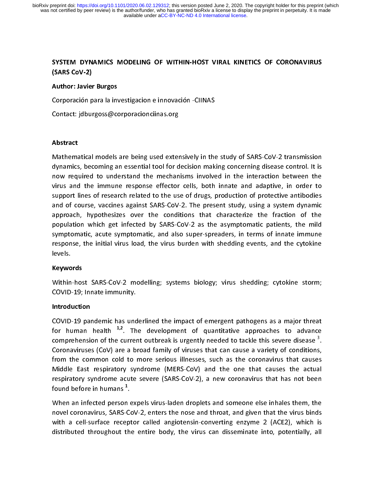# י )<br>)<br>( SYSTEM DYNAMICS MODELING OF WITHIN-HOST VIRAL KINETICS OF CORONAVIRUS (SARS CoV-2)

#### Author: Javier Burgos

#### Abstract

Contact: jdburgoss@corporacionciinas.org<br>Contact: jdburgoss@corporacionciinas.org<br>Abstract<br>Mathematical models are being used extensively in the Abstract:<br>Abstract<br>Mathematical models are being used exter<br>dynamics, becoming an essential tool for d dynamics, becoming an essential tool for decision making concerning disease control. It is<br>now required to understand the mechanisms involved in the interaction between the<br>virus and the immune response effector cells, bot dynamics, accounting an essential term in according tradition, and the interaction between the<br>virus and the immune response effector cells, both innate and adaptive, in order to<br>support lines of research related to the us now required to understand the interaction in the interaction are interested in<br>support lines of research related to the use of drugs, production of protective antibodies<br>and of course, vaccines against SARS-CoV-2. The pre virus and the infinition response to the use of drugs, production of protective antibodies<br>and of course, vaccines against SARS-CoV-2. The present study, using a system dynamic<br>approach, hypothesizes over the conditions th supper the correct relation of the use of the useg, production of processes and of course, vaccines against SARS-CoV-2. The present study, using a system dynamic approach, hypothesizes over the conditions that characterize approach, hypothesizes over the conditions that characterize the fraction of the population which get infected by SARS-CoV-2 as the asymptomatic patients, the mild symptomatic, acute symptomatic, and also super-spreaders, appropulation which get infected by SARS-CoV-2 as the asymptomatic patients, the mild<br>symptomatic, acute symptomatic, and also super-spreaders, in terms of innate immune<br>response, the initial virus load, the virus burden w population which get infected by Same 2012 at the asymptomatic patients, the line<br>symptomatic, acute symptomatic, and also super-spreaders, in terms of innate immune<br>response, the initial virus load, the virus burden with

## Keywords

response, the initial virus load, the virus burden with shedding events, and the cytokine<br>levels.<br>**Keywords**<br>Within-host SARS-CoV-2 modelling; systems biology; virus shedding; cytokine storm;<br>COVID-19; Innate immunity. Within-host SARS-CoV-2 modelling; systems biology; virus shedding; cytokine storm;<br>COVID-19; Innate immunity.<br>Introduction Ke<mark>ywo</mark><br>Within<br>COVID<br>Introdi

COVID-19; Innate immunity.<br>
Introduction<br>
COVID-19 pandemic has underlined the impact of emergent pathogens as a major threat<br>
for human health <sup>1,2</sup>. The development of quantitative approaches to advance<br>
comprehension o The Covince in the Introduction<br>COVID-19 pandemic has und<br>for human health <sup>1,2</sup>. Th<br>comprehension of the currer<br>Coronaviruses (CoV) are a b Introduction<br>COVID-19 pai<br>for human<br>comprehensia<br>Coronaviruse<br>from the cor for human health <sup>1,2</sup>. The development of quantitative approaches to advance<br>comprehension of the current outbreak is urgently needed to tackle this severe disease <sup>3</sup>.<br>Coronaviruses (CoV) are a broad family of viruses t for human health <sup>272</sup>. The development of quantitative approaches to advance<br>comprehension of the current outbreak is urgently needed to tackle this severe disease <sup>3</sup>.<br>Coronaviruses (CoV) are a broad family of viruses th comprehension of the current outbreak is urgently needed to tackle this severe disease <sup>3</sup><br>Coronaviruses (CoV) are a broad family of viruses that can cause a variety of conditions<br>from the common cold to more serious illne .<br>. .<br>. .<br>1 From the common cold to more serious illnesses, such as the coronavirus that causes<br>Middle East respiratory syndrome (MERS-CoV) and the one that causes the actual<br>respiratory syndrome acute severe (SARS-CoV-2), a new coron Middle East respiratory syndrome (MERS-CoV) and the one that causes the actual<br>respiratory syndrome acute severe (SARS-CoV-2), a new coronavirus that has not been<br>found before in humans<sup>1</sup>.<br>When an infected person expels v

Middle East respiratory syndrome acute severe (SARS-CoV-2), a new coronavirus that has not been<br>found before in humans<sup>1</sup>.<br>When an infected person expels virus-laden droplets and someone else inhales them, the<br>novel corona respirator in humans<sup>1</sup>.<br>When an infected person expels virus-laden droplets and someone else inhales them, the<br>novel coronavirus, SARS-CoV-2, enters the nose and throat, and given that the virus binds<br>with a cell-surface found before in humans<br>"When an infected person<br>novel coronavirus, SARS-<br>"<br>with a cell-surface rece<br>distributed throughout t . When an infected person eigens increased person environmental experimental incity increases and throat, and given that the virus binds with a cell-surface receptor called angiotensin-converting enzyme 2 (ACE2), which is di with a cell-surface receptor called angiotensin-converting enzyme 2 (ACE2), which is distributed throughout the entire body, the virus can disseminate into, potentially, all distributed throughout the entire body, the virus can disseminate into, potentially, all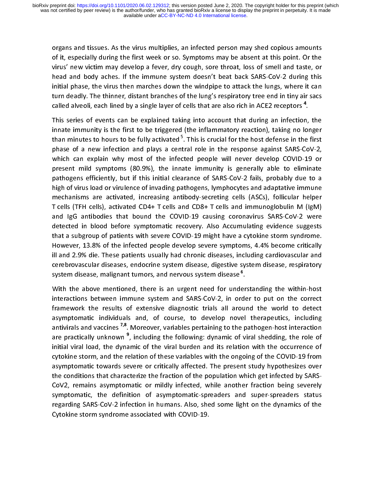of it, especially during the first week or so. Symptoms may be absent at this point. Or the<br>virus' new victim may develop a fever, dry cough, sore throat, loss of smell and taste, or<br>head and body aches. If the immune syst virus' new victim may develop a fever, dry cough, sore throat, loss of smell and taste, or<br>head and body aches. If the immune system doesn't beat back SARS-CoV-2 during this<br>initial phase, the virus then marches down the w head and body aches. If the immune system doesn't beat back SARS-CoV-2 during this<br>initial phase, the virus then marches down the windpipe to attack the lungs, where it can<br>turn deadly. The thinner, distant branches of the

innate immunity is the first to be triggered (the inflammatory reaction), taking no longer infinitive phase, the virtual market at the virtual margin process the turn deadly. The thinner, distant branches of the lung's respiratory tree end in tiny air sacs called alveoli, each lined by a single layer of cells th called alveoli, each lined by a single layer of cells that are also rich in ACE2 receptors<sup>4</sup>.<br>This series of events can be explained taking into account that during an infection, the innate immunity is the first to be tr called alveoli, each lined by a single layer of cells that are also rich in ACE2 receptors<sup>-</sup><br>This series of events can be explained taking into account that during an infectior<br>innate immunity is the first to be triggered . This series of events can be triggered (the inflammatory reaction), taking no longer<br>than minutes to hours to be fully activated <sup>5</sup>. This is crucial for the host defense in the first<br>phase of a new infection and plays a c innate inflammation in the first to be fully activated <sup>5</sup>. This is crucial for the host defense in the first phase of a new infection and plays a central role in the response against SARS-CoV-2, which can explain why most than minutes to hours to be fully activated <sup>5</sup>. This is crucial for the host defense in the first<br>phase of a new infection and plays a central role in the response against SARS-CoV-2,<br>which can explain why most of the inf phase of a new inferred interpret in the response against state of which can explain why most of the infected people will never develop COVID-19 or present mild symptoms (80.9%), the innate immunity is generally able to el present mild symptoms (80.9%), the innate immunity is generally able to eliminate<br>pathogens efficiently, but if this initial clearance of SARS-CoV-2 fails, probably due to a<br>high of virus load or virulence of invading path pathogens efficiently, but if this initial clearance of SARS-CoV-2 fails, probably due to a<br>high of virus load or virulence of invading pathogens, lymphocytes and adaptative immune<br>mechanisms are activated, increasing anti high of virus load or virulence of invading pathogens, lymphocytes and adaptative immune<br>mechanisms are activated, increasing antibody-secreting cells (ASCs), follicular helper<br>T cells (TFH cells), activated CD4+ T cells a mechanisms are activated, increasing antibody-secreting cells (ASCs), follicular helper<br>T cells (TFH cells), activated CD4+ T cells and CD8+ T cells and immunoglobulin M (IgM)<br>and IgG antibodies that bound the COVID-19 cau mechanisms are activated CD4+ T cells and CD8+ T cells and immunoglobulin M (IgM)<br>and IgG antibodies that bound the COVID-19 causing coronavirus SARS-CoV-2 were<br>detected in blood before symptomatic recovery. Also Accumulat The state (TFF cells), and lgG antibodies that bound the COVID-19 causing coronavirus SARS-CoV-2 were<br>detected in blood before symptomatic recovery. Also Accumulating evidence suggests<br>that a subgroup of patients with seve detected in blood before symptomatic recovery. Also Accumulating evidence suggests<br>that a subgroup of patients with severe COVID-19 might have a cytokine storm syndrome.<br>However, 13.8% of the infected people develop severe that a subgroup of patients with severe COVID-19 might have a cytokine storm syndrome.<br>However, 13.8% of the infected people develop severe symptoms, 4.4% become critically<br>ill and 2.9% die. These patients usually had chro that a subgroup of patients with severe components and powerer, 13.8% of the infected people develop severe symptoms, 4.4% become critically ill and 2.9% die. These patients usually had chronic diseases, including cardiova However, 13.8% die. These patients usually had chronic diseases, including cardiovascular and<br>cerebrovascular diseases, endocrine system disease, digestive system disease, respiratory<br>system disease, malignant tumors, and

Experimental and these patients usually had chronic disease, including cardiovariant and<br>cerebrovascular diseases, endocrine system disease, digestive system disease, respiratory<br>system disease, malignant tumors, and nervo system disease, malignant tumors, and nervous system disease<sup>6</sup>.<br>With the above mentioned, there is an urgent need for understanding the within-host<br>interactions between immune system and SARS-CoV-2, in order to put on the system disease, malignant tumors, and nervous system disease<br>With the above mentioned, there is an urgent need for unde<br>interactions between immune system and SARS-CoV-2, in ord<br>framework the results of extensive diagnosti r<br>.r<br>.l<br>.p interactions between immune system and SARS-CoV-2, in order to put on the correct<br>framework the results of extensive diagnostic trials all around the world to detect<br>asymptomatic individuals and, of course, to develop nove framework the results of extensive diagnostic trials all around the world to detect<br>asymptomatic individuals and, of course, to develop novel therapeutics, including<br>antivirals and vaccines <sup>7,8</sup>. Moreover, variables perta asymptomatic individuals and, of course, to develop novel therapeutics, including<br>antivirals and vaccines <sup>7,8</sup>. Moreover, variables pertaining to the pathogen-host interaction<br>are practically unknown<sup>9</sup>, including the fol antivirals and vaccines <sup>7,8</sup>. Moreover, variables pertaining to the pathogen-host interaction<br>are practically unknown <sup>9</sup>, including the following: dynamic of viral shedding, the role of<br>initial viral load, the dynamic of are practically unknown<sup>9</sup>, including the following: dynamic of viral shedding, the role of<br>initial viral load, the dynamic of the viral burden and its relation with the occurrence of<br>cytokine storm, and the relation of th are practically unknown  $\tilde{\ }$ , including the following: dynamic of viral shedding, the role of<br>initial viral load, the dynamic of the viral burden and its relation with the occurrence of<br>cytokine storm, and the relation cytokine storm, and the relation of these variables with the ongoing of the COVID-19 from<br>asymptomatic towards severe or critically affected. The present study hypothesizes over<br>the conditions that characterize the fractio cytomic storm, and the relation of the relations control asymptomatic towards severe or critically affected. The present study hypothesizes over<br>the conditions that characterize the fraction of the population which get inf asymptomate critical severe or critically infected the population which get infected by SARS-CoV2, remains asymptomatic or mildly infected, while another fraction being severely symptomatic, the definition of asymptomaticsymptomatic, the definition of asymptomatic-spreaders and super-spreaders status<br>regarding SARS-CoV-2 infection in humans. Also, shed some light on the dynamics of the<br>Cytokine storm syndrome associated with COVID-19. regarding SARS-CoV-2 infection in humans. Also, shed some light on the dynamics of the regarding Scytokine storm syndrome associated with COVID-19.<br>Cytokine storm syndrome associated with COVID-19. Cytokine storm syndrome associated with COVID-19.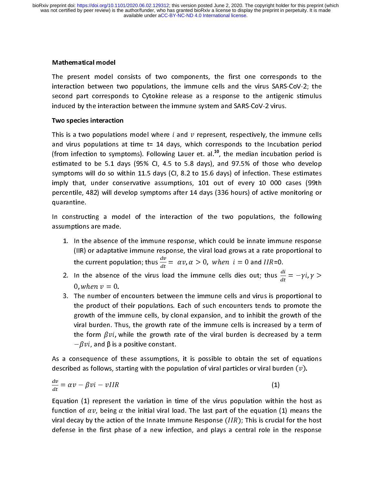#### Mathematical model

The present model consists of two components, the first one corresponds to the interaction between two populations, the immune cells and the virus SARS-CoV-2; the second part corresponds to Cytokine release as a response

#### Two species interaction

and virus populations at time  $t = 14$  days, which corresponds to the Incubation period induced by the interaction between the immune system and SARS-CoV-2 virus.<br>Two species interaction<br>This is a two populations model where  $i$  and  $v$  represent, respectively, the immune cells<br>and virus populations at time Two species interaction<br>This is a two populations model where *i* and *v* represent, respectively, the im<br>and virus populations at time t= 14 days, which corresponds to the Incubat<br>(from infection to symptoms). Following This is a two populations model where  $t$  and  $v$  represent, respectively, the immune cells<br>and virus populations at time t= 14 days, which corresponds to the Incubation period<br>(from infection to symptoms). Following Laue and virus populations at time tends of the India, the median incubation period is<br>estimated to be 5.1 days (95% CI, 4.5 to 5.8 days), and 97.5% of those who develop<br>symptoms will do so within 11.5 days (CI, 8.2 to 15.6 day estimated to be 5.1 days (95% CI, 4.5 to 5.8 days), and 97.5% of those who develop<br>symptoms will do so within 11.5 days (CI, 8.2 to 15.6 days) of infection. These estimates<br>imply that, under conservative assumptions, 101 o symptoms will do so within 11.5 days (Cl, 8.2 to 15.6 days) of infection. These estimates<br>imply that, under conservative assumptions, 101 out of every 10 000 cases (99th<br>percentile, 482) will develop symptoms after 14 day symptom imply that, under conservative assumptions, 101 out of every 10 000 cases (99th percentile, 482) will develop symptoms after 14 days (336 hours) of active monitoring or quarantine.<br>In constructing a model of the in imply that, and the percentile, and 2) will develop symptoms after 14 days (336 hours) of active monitoring or<br>
in constructing a model of the interaction of the two populations, the following<br>
in constructing a model of t

percentile.<br>
1. In constructing a model of the interaction of the two populations, the following<br>
1. In the absence of the immune response, which could be innate immune response<br>
(IIR) or adaptative immune response, the vi

- n<br>In construc<br>assumptions<br>1. In th<br>(IIR)<br>the c In the absence of the immune response, which could be innate immune response<br>
(IIR) or adaptative immune response, the viral load grows at a rate proportional to<br>
the current population; thus  $\frac{dv}{dt} = \alpha v, \alpha > 0$ , when  $i =$ 1. In the absence c<br>(IIR) or adaptative<br>the current popu<br>2. In the absence<br>0 when  $v = 0$ (IIR) or adaptative immune response, the viral load grows at a rate proportional to<br>the current population; thus  $\frac{dv}{dt} = \alpha v, \alpha > 0$ , when  $i = 0$  and  $IIR=0$ .<br>2. In the absence of the virus load the immune cells dies out;  $\frac{dV}{dt} = \alpha v, \alpha > 0, \text{ wh}$ 
	- $\frac{d}{dt} = -\gamma t, \gamma >$ u, wnen v
	- (IIR) or analytimize immunity experiency interting group is the viral lock of the current population; thus  $\frac{dv}{dt} = \alpha v, \alpha > 0$ , when  $i = 0$  and  $IIR=0$ .<br>
	In the absence of the virus load the immune cells dies out; thus  $\frac$ the current population; thus  $\frac{dE}{dt} = \alpha v, \alpha > 0$ , when  $i = 0$  and  $IIR=0$ .<br>
	In the absence of the virus load the immune cells dies out; thus  $\frac{di}{dt}$ <br>
	0, when  $v = 0$ .<br>
	The number of encounters between the immune cells an 2. In the absence of the virus load the immune cells dies out; thus  $\frac{1}{dt}$ <br>0, when  $v = 0$ .<br>3. The number of encounters between the immune cells and virus is pro<br>the product of their populations. Each of such encounters = υ.<br>er of<br>ct of<br>the ir<br>n. Th<br>3νi, ν the product of their populations. Each of such encounters tends to promote the growth of the immune cells, by clonal expansion, and to inhibit the growth of the viral burden. Thus, the growth rate of the immune cells is i growth of the immune cells, by clonal expansion, and to inhibit the growth of the viral burden. Thus, the growth rate of the immune cells is increased by a term of<br>the form  $\beta v i$ , while the growth rate of the viral burden is decreased by a term<br> $-\beta v i$ , and  $\beta$  is a positive constant.<br>onsequence of th the form  $\beta vi$ , while the growth rate of the viral burden is decreased by a term  $-\beta vi$ , and  $\beta$  is a positive constant.<br>
	positive constant.<br>
	posible to obtain the set of equations<br>
	ed as follows, starting with the popula  $-pv$

the form  $p\bar{v}$ <br>- $\beta v i$ , and  $\beta$ <br>onsequence<br>ed as follows<br> $p - \beta v i - v I$ . As a consequence of these assumptions, it is possible to obtain the set of equations  $\iota$ , and p is a positive constant.<br>quence of these assumptions<br>; follows, starting with the pop<br> $\partial \nu i - \nu IIR$ <br>) represent the variation in ti

$$
\frac{dv}{dt} = \alpha v - \beta v i - v IIR
$$
 (1)

described as follows, starting with the population of viral particles or viral burden (*v*).<br>  $\frac{dv}{dt} = \alpha v - \beta v i - v IIR$  (1)<br>
Equation (1) represent the variation in time of the virus population within the host as<br>
function o described as follows, starting with the population of viral particles or viral burden ( $v$ <br>  $\frac{dv}{dt} = \alpha v - \beta v i - v I I R$  (1)<br>
Equation (1) represent the variation in time of the virus population within the h<br>
function of  $\alpha v$ )<br>.0<br>.ns<br>.ns FIR<br>sent the variation in time of the virus population within<br>ng  $\alpha$  the initial viral load. The last part of the equation (<br>inction of the Innate Immune Response (IIR); This is cruciat<br>phase of a new infection, and play function of  $\alpha v$ , being  $\alpha$  the initial viral load. The last part of the equation (1) means the function of  $dv$ , being  $\alpha$  the initial viral load. The last part of the equation (1) means the<br>viral decay by the action of the Innate Immune Response (*IIR*); This is crucial for the host<br>defense in the first phase of a defense in the first phase of a new infection, and plays a central role in the response defense in the first phase of a new infection, and plays a central role in the response<br>and plays a new infection, and plays a central role in the response of a new infection, and in the response of<br>the response of a new i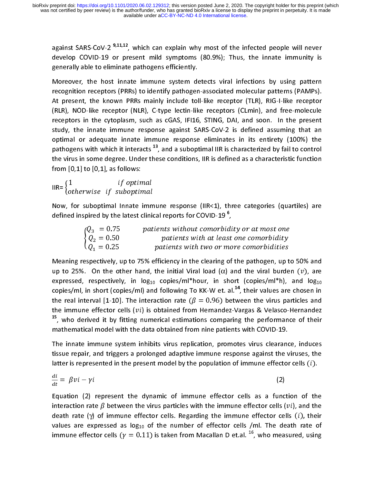against SARS-CoV-2  $^{9,11,12}$ , which can explain why most of the infected people will never<br>develop COVID-19 or present mild symptoms (80.9%); Thus, the innate immunity is<br>generally able to eliminate pathogens efficientl

generally able to eliminate pathogens efficiently.<br>Moreover, the host innate immune system detects viral infections by using pattern<br>recognition receptors (PRRs) to identify pathogen-associated molecular patterns (PAMPs).<br> Moreover, the host innate immune system deprecipation receptors (PRRs) to identify pathogen<br>At present, the known PRRs mainly include to<br>(RLR), NOD-like receptor (NLR), C-type lectin-lik<br>receptors in the cytoplasm, such as (RLR), NOD-like receptor (NLR), C-type lectin-like receptors (CLmin), and free-molecule receptors in the cytoplasm, such as cGAS, IFI16, STING, DAI, and soon. In the present study, the innate immune response against SARS-C recognition receptor (PTMP) is mainly include toll-like receptor (TLR), RIG-I-like receptor<br>(RLR), NOD-like receptor (NLR), C-type lectin-like receptors (CLmin), and free-molecule<br>receptors in the cytoplasm, such as cGAS, (RLR), NOD-like receptor (NLR), C-type lectin-like receptors (CLmin), and free-molecule receptors in the cytoplasm, such as cGAS, IFI16, STING, DAI, and soon. In the present study, the innate immune response against SARSreceptors in the cytoplasm, such as cGAS, IFI16, STING, DAI, and soon. In the present<br>study, the innate immune response against SARS-CoV-2 is defined assuming that an<br>optimal or adequate innate immune response eliminates study, the innate immune response against SARS-CoV-2 is defined assuming that an optimal or adequate innate immune response eliminates in its entirety (100%) the pathogens with which it interacts  $^{13}$ , and a suboptimal state), the innate immune response aliminates in its entirety (100%) the<br>pathogens with which it interacts <sup>13</sup>, and a suboptimal IIR is characterized by fail to control<br>the virus in some degree. Under these conditions, I pathogens with which it interacts <sup>13</sup>, and a suboptimal IIR is characterized by fail to control<br>the virus in some degree. Under these conditions, IIR is defined as a characteristic function<br>from [0,1] to [0,1], as follow pathogens with which it interacts  $\cdot$ , and a suboptimal IIR is characterized by tail to control<br>the virus in some degree. Under these conditions, IIR is defined as a characteristic function<br>from [0,1] to [0,1], as follow

otherwise if suboptimal

from [0,1] to [0,1], as follows:<br>  $\text{IIR} = \begin{cases} 1 & \text{if optimal} \\ \text{otherwise} & \text{if suboptimal} \end{cases}$ <br>
Now, for suboptimal Innate immune response (IIR<1), three categories (quartiles) are<br>
defined inspired by the latest clinical reports for COVI IIR=  $\{$ 1 *If optimal*<br>
Now, for suboptimal Innate important<br>
defined inspired by the latest clini<br>  $\{Q_3 = 0.75$  pa:<br>  $\{Q_2 = 0.50$ <br>  $Q_1 = 0.25$ 

| (otherwise if suboptimal                                                                                                                                                                                                      |
|-------------------------------------------------------------------------------------------------------------------------------------------------------------------------------------------------------------------------------|
| Now, for suboptimal Innate immune response (IIR<1), three categories (quartiles) are<br>defined inspired by the latest clinical reports for COVID-19 <sup>6</sup> ,                                                           |
| patients without comorbidity or at most one<br>$\left\{ \begin{aligned} Q_3 &= 0.75 \\ Q_2 &= 0.50 \\ Q_1 &= 0.25 \end{aligned} \right.$<br>patients with at least one comorbidity<br>patients with two or more comorbidities |
| Meaning respectively, up to 75% efficiency in the clearing of the pathogen, up to 50% and                                                                                                                                     |
| up to 25%. On the other hand, the initial Viral load ( $\alpha$ ) and the viral burden $(v)$ , are                                                                                                                            |

 $\begin{bmatrix} 1 \\ 1 \\ 1 \end{bmatrix}$ Meaning respectively, up to 75% efficiency in the elearing of the pathogen, up to 36% and<br>up to 25%. On the other hand, the initial Viral load ( $\alpha$ ) and the viral burden ( $v$ ), are<br>expressed, respectively, in  $log_{10}$  cop up to 25%. On the other hand, the initial Viral load (α) and the viral burden  $(v)$ , are expressed, respectively, in  $log_{10}$  copies/ml\*hour, in short (copies/ml\*h), and  $log_{10}$  copies/ml) and following To KK-W et. al.<sup>14</sup> copies/ml, in short (copies/ml) and following To KK-W et. al.<sup>14</sup>, their values are chosen in<br>the real interval [1-10]. The interaction rate ( $\beta = 0.96$ ) between the virus particles and<br>the immune effector cells (*vi*) is copies/ml, in short (copies/ml) and following To KK-W et. al.<sup>44</sup>, their values are chosen in<br>the real interval [1-10]. The interaction rate ( $\beta = 0.96$ ) between the virus particles and<br>the immune effector cells ( $vi$ ) is the real interval [1-10]. The interaction rate  $(\beta = 0.96)$  between the virus particles and<br>the immune effector cells  $(vi)$  is obtained from Hernandez-Vargas & Velasco-Hernandez<br><sup>15</sup>, who derived it by fitting numerical es

the immune effector cells ( $vt$ ) is obtained from Hernandez-Vargas & Velasco-Hernandez<br>
<sup>15</sup>, who derived it by fitting numerical estimations comparing the performance of their<br>
mathematical model with the data obtained fr <sup>25</sup>, who derived it by fitting numerical estimations comparing the performance of their<br>mathematical model with the data obtained from nine patients with COVID-19.<br>The innate immune system inhibits virus replication, pro The innate immune system inhibits virus replication, promotes virus clearand<br>tissue repair, and triggers a prolonged adaptive immune response against the v<br>latter is represented in the present model by the population of i tissue repair, and triggers a prolonged adaptive immune response against the viruses, the<br>latter is represented in the present model by the population of immune effector cells (*i*).<br> $\frac{di}{dt} = \beta vi - \gamma i$  (2)<br>Equation (2) rep

$$
\frac{di}{dt} = \beta vi - \gamma i \tag{2}
$$

Latter is represented in the present model by the population of immune effector cells (*i*).<br>  $\frac{di}{dt} = \beta vi - \gamma i$  (2)<br>
Equation (2) represent the dynamic of immune effector cells as a function of the<br>
interaction rate  $\beta$  latter is represented in the present model by the population of immune effector cells (*i*).<br>  $\frac{di}{dt} = \beta v i - \gamma i$  (2)<br>
Equation (2) represent the dynamic of immune effector cells as a function of the<br>
interaction rate  $\beta$  $t - \gamma t$ <br>
(2) represent the dynamic of immune effector cells as a func<br>
on rate β between the virus particles with the immune effector cells (<br>
te (γ) of immune effector cells. Regarding the immune effector cell<br>
re expre interaction rate  $\beta$  between the virus particles with the immune effector cells (*vi*), and the death rate ( $\gamma$ ) of immune effector cells. Regarding the immune effector cells (*i*), their values are expressed as  $log_{10}$ interaction rate  $p$  between the virus particles with the immune effector cells  $(v_i)$ , and the<br>death rate  $(\gamma)$  of immune effector cells. Regarding the immune effector cells  $(i)$ , their<br>values are expressed as  $log_{10}$  of death rate (γ) of immune effector cells. Regarding the immune effector cells (i), their<br>values are expressed as log<sub>10</sub> of the number of effector cells /ml. The death rate of<br>immune effector cells (γ = 0.11) is taken fro immune effector cells ( $\gamma = 0.11$ ) is taken from Macallan D et.al. <sup>16</sup>, who measured, using<br>  $\gamma$ . The death rate of the death rate of the death rate of the death rate of the death rate of the death rate of the death rat immune effector cells ( $\gamma=0.11$ ) is taken from Macallan D et.al. <sup>16</sup>, who measured, using<br>immune effector cells ( $\gamma=0.11$ ) is taken from Macallan D et.al. <sup>16</sup>, who measured, using<br>immune effector cells ( $\gamma=0.11$ )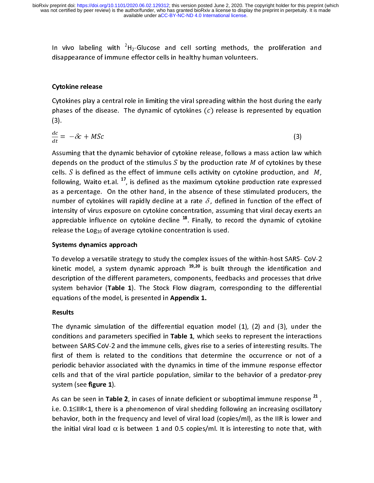In vivo labeling with  ${}^{2}H_{2}$ -Glucose and cell sorting methods, the proliferation and disappearance of immune effector cells in healthy human volunteers.

#### Cytokine release

Cytokines play a central role in limiting the viral spreading within the host during the early on uppearance of immune effector cells in healthy funding continuation.<br>Cytokines play a central role in limiting the viral spreading within the l<br>phases of the disease. The dynamic of cytokines (c) release is repre The discussion of the disease. The dynamic of cytokines (c) release is represented by equation<br>
(3).<br>  $\frac{dc}{dt} = -\delta c + MSc$  (3)<br>
Assuming that the dynamic behavior of cytokine release, follows a mass action law which<br>
denotes

$$
\frac{dc}{dt} = -\delta c + MSc \tag{3}
$$

(3).<br>  $\frac{dc}{dt} = -\delta c + MSc$  (3)<br>
Assuming that the dynamic behavior of cytokine release, follows a mass action law which<br>
depends on the product of the stimulus S by the production rate M of cytokines by these<br>
cells. S is de  $\frac{dc}{dt}$  =<br>Assu<br>dep<br>cells  $= -oc + MSc$  (3)<br>suming that the dynamic behavior of cytokine release, follows a mass action law<br>pends on the product of the stimulus S by the production rate M of cytokines by<br>ls. S is defined as the effect of immune cells a Assuming that the dynamic behavior of  $\lambda$  is depends on the product of the stimulus  $S$  by the production rate  $M$  of cytokines by these cells.  $S$  is defined as the effect of immune cells activity on cytokine production depends on the product of the stimulus 5 by the production rate *M* of cytokines by these<br>cells. *S* is defined as the effect of immune cells activity on cytokine production, and *M*,<br>following, Waito et.al. <sup>17</sup>, is defi cells. 3 is defined as the effect of immune cells activity on cytokine production, and  $M$ , following, Waito et.al. <sup>17</sup>, is defined as the maximum cytokine production rate expressed as a percentage. On the other hand, in as a percentage. On the other hand, in the absence of these stimulated producers, the<br>number of cytokines will rapidly decline at a rate  $\delta$ , defined in function of the effect of<br>intensity of virus exposure on cytokine c appreciable influence on cytokine decline  $^{18}$ . Finally, to record the dynamic of cytokine intensity of virus exposure on cytokine decline <sup>18</sup>. Finally, to record the dynamic of cytokine<br>release the Log<sub>10</sub> of average cytokine concentration is used.<br>**Systems dynamics approach**<br>To develop a versatile strategy to

#### Systems dynamics approach

To develop a versatile strategy to study the complex issues of the within-host SARS-CoV-2 appreciable influence on cytokine decline <sup>19</sup>. Finally, to record the dynamic of cytokine<br>release the Log<sub>10</sub> of average cytokine concentration is used.<br>**Systems dynamics approach**<br>To develop a versatile strategy to study Systems dynamics approach<br>To develop a versatile strategy to study the complex issues of<br>kinetic model, a system dynamic approach  $^{19,20}$  is built the<br>description of the different parameters, components, feedk<br>system beh Kinetic model, a system dynamic approach  $19,20$  is built through the identification and description of the different parameters, components, feedbacks and processes that drive system behavior (Table 1). The Stock Flow di kinetic model, a system dynamic approach  $\frac{1}{2}$  is built through the identification and<br>description of the different parameters, components, feedbacks and processes that drive<br>system behavior (Table 1). The Stock Flow d system behavior (Table 1). The Stock Flow diagram, corresponding to the differential<br>equations of the model, is presented in Appendix 1.<br>Results<br>The dynamic simulation of the differential equation model (1), (2) and (3), u

### Results

system behavior (Table 1). The Stock Tiow diagram, corresponding to the differential<br>equations of the model, is presented in Appendix 1.<br>The dynamic simulation of the differential equation model (1), (2) and (3), under the equations of the model, is presented in Appendix 1.<br>Results<br>The dynamic simulation of the differential equatic<br>conditions and parameters specified in Table 1, which<br>between SARS-CoV-2 and the immune cells, gives ris<br>first The dynamics and parameters specified in Table 1, which seeks to represent the interactions<br>between SARS-CoV-2 and the immune cells, gives rise to a series of interesting results. The<br>first of them is related to the condit between SARS-CoV-2 and the immune cells, gives rise to a series of interesting results. The<br>first of them is related to the conditions that determine the occurrence or not of a<br>periodic behavior associated with the dynamic first of them is related to the conditions that determine the occurrence or not of a<br>periodic behavior associated with the dynamics in time of the immune response effector<br>cells and that of the viral particle population, periodic behavior associated with the dynamics in time of the immune response effector<br>cells and that of the viral particle population, similar to the behavior of a predator-prey<br>system (see **figure 1**).<br>As can be seen in

periodic behavior associated with the dynamics in time of the behavior of a predator-prey<br>system (see **figure 1**).<br>As can be seen in **Table 2**, in cases of innate deficient or suboptimal immune response <sup>21</sup>,<br>i.e. 0.1≤IIR system (see **figure 1**).<br>As can be seen in **Table 2**, in cases of innate deficient or suboptimal immune response <sup>21</sup>,<br>i.e. 0.1≤IIR<1, there is a phenomenon of viral shedding following an increasing oscillatory<br>behavior, System (see figure 1).<br>As can be seen in Tab<br>i.e. 0.1≤||R<1, there is<br>behavior, both in the<br>the initial viral load  $\alpha$ As can be seen in Table 2, in cases of innate deficient or suboptimal immune response  $\tilde{ }^n$ , i.e. 0.1 $\leq$ IIR<1, there is a phenomenon of viral shedding following an increasing oscillatory behavior, both in the freque i.e. 0.1≤||R<1, there is a phenomenon of viral shedding following an increasing oscillatory<br>behavior, both in the frequency and level of viral load (copies/ml), as the IIR is lower and<br>the initial viral load  $\alpha$  is betw the initial viral load  $\alpha$  is between 1 and 0.5 copies/ml. It is interesting to note that, with  $\alpha$  is interesting to note that, with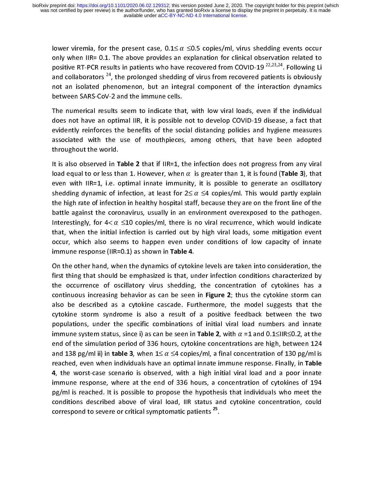lower viremia, for the present case,  $0.1 \leq \alpha \leq 0.5$  copies/ml, virus shedding events occur<br>only when IIR= 0.1. The above provides an explanation for clinical observation related to<br>positive RT-PCR results in patients w positive RT-PCR results in patients who have recovered from COVID-19 <sup>22,23,24</sup>. Following Li<br>and collaborators <sup>24</sup>, the prolonged shedding of virus from recovered patients is obviously<br>not an isolated phenomenon, but an and collaborators <sup>24</sup>, the prolonged shedding of virus from recovered patients is obviously<br>not an isolated phenomenon, but an integral component of the interaction dynamics<br>between SARS-CoV-2 and the immune cells.

and collaborators <sup>24</sup>, the prolonged shedding of virus from recovered patients is obviously<br>not an isolated phenomenon, but an integral component of the interaction dynamics<br>between SARS-CoV-2 and the immune cells.<br>The nu between SARS-CoV-2 and the immune cells.<br>The numerical results seem to indicate that, with low viral loads, even if the individual<br>does not have an optimal IIR, it is possible not to develop COVID-19 disease, a fact that<br>e The numerical results seem to indicate tha<br>does not have an optimal IIR, it is possible<br>evidently reinforces the benefits of the soc<br>associated with the use of mouthpieces<br>throughout the world. does not have an optimal IIR, it is possible not to develop COVID-19 disease, a fact that<br>evidently reinforces the benefits of the social distancing policies and hygiene measures<br>associated with the use of mouthpieces, am evidently reinforces the benefits of the social distancing policies and hygiene measures

even with IIR=1, i.e. optimal innate immunity, it is possible to generate an oscillatory throughout the world.<br>
It is also observed in Table 2 that if  $IIR=1$ , the infection does not progress from any viral<br>
load equal to or less than 1. However, when  $\alpha$  is greater than 1, it is found (Table 3), that<br>
even w It is also observed in **T**<br>load equal to or less th<br>even with IIR=1, i.e. c<br>shedding dynamic of i<br>the high rate of infectio It is also observed in Table 2 that if  $Im-1$ , the infection does not progress from any viral<br>load equal to or less than 1. However, when  $\alpha$  is greater than 1, it is found (Table 3), that<br>even with IIR=1, i.e. optimal in load equal to or less than 1. However, when  $\alpha$  is greater than 1, it is found (Table 3), that<br>even with IIR=1, i.e. optimal innate immunity, it is possible to generate an oscillatory<br>shedding dynamic of infection, at le shedding dynamic of infection, at least for  $2 \le \alpha \le 4$  copies/ml. This would partly explain<br>the high rate of infection in healthy hospital staff, because they are on the front line of the<br>battle against the coronavirus, battle against the coronavirus, usually in an environment overexposed to the pathogen.<br>Interestingly, for  $4 < \alpha \le 10$  copies/ml, there is no viral recurrence, which would indicate<br>that, when the initial infection is carri Interestingly, for  $4 < \alpha \le 10$  copies/ml, there is no viral recurrence, which would indicate<br>that, when the initial infection is carried out by high viral loads, some mitigation event<br>occur, which also seems to happen eve Interestingly, for  $4 < \alpha \le 10$  copies/ml, there is no viral recurrence, which would indicate<br>that, when the initial infection is carried out by high viral loads, some mitigation event<br>occur, which also seems to happen eve

occur, which also seems to happen even under conditions of low capacity of innate<br>immune response (IIR=0.1) as shown in Table 4.<br>On the other hand, when the dynamics of cytokine levels are taken into consideration, the<br>fir immune response (IIR=0.1) as shown in Table 4.<br>On the other hand, when the dynamics of cytokine levels are taken into consideration, the<br>first thing that should be emphasized is that, under infection conditions characteriz Immune response (IIR=0.1) as shown in Table 4.<br>On the other hand, when the dynamics of cytoki<br>first thing that should be emphasized is that, ur<br>the occurrence of oscillatory virus shedding,<br>continuous increasing behavior a The contribution and the dynamics of cytokine intertion conditions characterized by<br>the occurrence of oscillatory virus shedding, the concentration of cytokines has a<br>continuous increasing behavior as can be seen in **Figur** The occurrence of oscillatory virus shedding, the concentration of cytokines has a<br>continuous increasing behavior as can be seen in **Figure 2**; thus the cytokine storm can<br>also be described as a cytokine cascade. Furtherm continuous increasing behavior as can be seen in **Figure 2**; thus the cytokine storm can<br>also be described as a cytokine cascade. Furthermore, the model suggests that the<br>cytokine storm syndrome is also a result of a posi also be described as a cytokine cascade. Furthermore, the model suggests that the cytokine storm syndrome is also a result of a positive feedback between the two populations, under the specific combinations of initial vir cytokine storm syndrome is also a result of a positive feedback between the two<br>populations, under the specific combinations of initial viral load numbers and innate<br>immune system status, since i) as can be seen in **Table** populations, under the specific combinations of initial viral load numbers and innate<br>immune system status, since i) as can be seen in **Table 2**, with  $\alpha$  =1 and 0.1≤IR≤0.2, at the<br>end of the simulation period of 336 hou immune system status, since i) as can be seen in Table 2, with  $\alpha$  =1 and 0.1≤IIR≤0.2, at the end of the simulation period of 336 hours, cytokine concentrations are high, between 124 and 138 pg/ml ii) in table 3, when  $1$ and 138 pg/ml ii) in **table 3**, when  $1 \le \alpha \le 4$  copies/ml, a final concentration of 130 pg/ml is<br>reached, even when individuals have an optimal innate immune response. Finally, in **Table**<br>4, the worst-case scenario is ob reached, even when individuals have an optimal innate immune response. Thany, in Table<br>4, the worst-case scenario is observed, with a high initial viral load and a poor innate<br>immune response, where at the end of 336 hours  $\frac{4}{4}$ , the worst-case scenario is observed, while a high initial viral load and a poor innate immune response, where at the end of 336 hours, a concentration of cytokines of 194 pg/ml is reached. It is possible to pro pg/ml is reached. It is possible to propose the hypothesis that individuals who meet the<br>conditions described above of viral load, IIR status and cytokine concentration, could<br>correspond to severe or critical symptomatic p conditions described above of viral load, IIR status and cytokine concentration, could correspond to severe or critical symptomatic patients  $25$ . correspond to severe or critical symptomatic patients  $\tilde{\phantom{a}}$  .<br>The series of critical symptomatic patients  $\tilde{\phantom{a}}$  .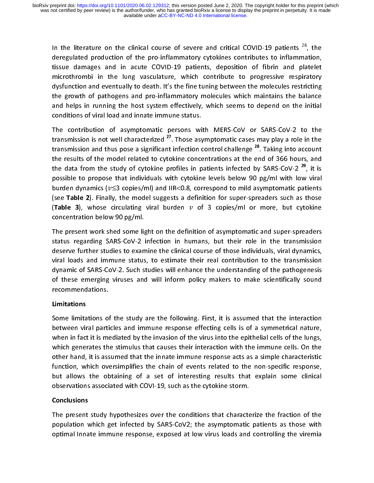In the literature on the clinical course of severe and critical COVID-19 patients <sup>26</sup>, the<br>deregulated production of the pro-inflammatory cytokines contributes to inflammation,<br>tissue damages and in acute COVID-19 patient tissue damages and in acute COVID-19 patients, deposition of fibrin and platelet<br>microthrombi in the lung vasculature, which contribute to progressive respiratory<br>dysfunction and eventually to death. It's the fine tuning b microthrombi in the lung vasculature, which contribute to progressive respiratory<br>dysfunction and eventually to death. It's the fine tuning between the molecules restricting<br>the growth of pathogens and pro-inflammatory mol dysfunction and eventually to death. It's the fine tuning between the molecules restricting<br>the growth of pathogens and pro-inflammatory molecules which maintains the balance<br>and helps in running the host system effectivel the growth of pathogens and pro-inflammatory molecules which maintains the balance<br>and helps in running the host system effectively, which seems to depend on the initial<br>conditions of viral load and innate immune status.<br>

and helps in running the host system effectively, which seems to depend on the initial<br>conditions of viral load and innate immune status.<br>The contribution of asymptomatic persons with MERS-CoV or SARS-CoV-2 to the<br>transmi conditions of viral load and innate immune status.<br>The contribution of asymptomatic persons with MERS-CoV or SARS-CoV-2 to the<br>transmission is not well characterized <sup>27</sup>. Those asymptomatic cases may play a role in the<br>t The contribution of asymptomatic persons witransmission is not well characterized <sup>27</sup>. Those asy<br>transmission and thus pose a significant infection of<br>the results of the model related to cytokine conce<br>the data from the s The contribution of all properties of  $2^2$ . Those asymptomatic cases may play a role in the transmission and thus pose a significant infection control challenge  $^{28}$ . Taking into account the results of the model relate transmission and thus pose a significant infection control challenge <sup>28</sup>. Taking into account<br>the results of the model related to cytokine concentrations at the end of 366 hours, and<br>the data from the study of cytokine p transmission and thus pose a significant infection control challenge  $\sim$ . Taking into account<br>the results of the model related to cytokine concentrations at the end of 366 hours, and<br>the data from the study of cytokine p the data from the study of cytokine profiles in patients infected by SARS-CoV-2<sup>29</sup>, it is<br>possible to propose that individuals with cytokine levels below 90 pg/ml with low viral<br>burden dynamics ( $v \le 3$  copies/ml) and II possible to propose that individuals with cytokine levels below 90 pg/ml with low viral<br>burden dynamics ( $v \le 3$  copies/ml) and IIR<0.8, correspond to mild asymptomatic patients<br>(see **Table 2**). Finally, the model suggest possible dynamics ( $v \le 3$  copies/ml) and IIR<0.8, correspond to mild asymptomatic patients (see Table 2). Finally, the model suggests a definition for super-spreaders such as those (Table 3), whose circulating viral burd burden dynamics ( $\nu \leq 3$  copies/ml) and IIR<0.8, correspond to mild asymptomatic patients (see **Table 2**). Finally, the model suggests a definition for super-spreaders such as those (**Table 3**), whose circulating viral

(Table 3), whose circulating viral burden  $v$  of 3 copies/ml or more, but cytokine concentration below 90 pg/ml.<br>The present work shed some light on the definition of asymptomatic and super-spreaders status regarding SARS (Table 3), whose circulating viral burden  $v$ <br>concentration below 90 pg/ml.<br>The present work shed some light on the defin<br>status regarding SARS-CoV-2 infection in hui<br>deserve further studies to examine the clinical<br>viral status regarding SARS-CoV-2 infection in humans, but their role in the transmission deserve further studies to examine the clinical course of those individuals, viral dynamics, viral loads and immune status, to estimate th The present work shed some lig<br>status regarding SARS-CoV-2<br>deserve further studies to exam<br>viral loads and immune status<br>dynamic of SARS-CoV-2. Such s The presenting SARS-CoV-2 infection in humans, but their role in the transmission<br>deserve further studies to examine the clinical course of those individuals, viral dynamics,<br>viral loads and immune status, to estimate thei status regarding state of a material in manufally, and their transmitted deserve further studies to examine the clinical course of those individuals, viral dynamics, viral loads and immune status, to estimate their real co designation and immune the climate further contribution to the transmission<br>dynamic of SARS-CoV-2. Such studies will enhance the understanding of the pathogenesis<br>of these emerging viruses and will inform policy makers to viral loads and immunity status, to estimate their contribution of the transmission<br>dynamic of SARS-CoV-2. Such studies will enhance the understanding of the pathogenesis<br>of these emerging viruses and will inform policy ma dynamic of these emerging viruses and will inform policy makers to make scientifically sound<br>recommendations.<br>**Limitations**<br>Some limitations of the study are the following. First, it is assumed that the interaction<br>between

#### Limitations

of the scommendations.<br>
Limitations<br>
Some limitations of the study are the following. First, it is assumed that the interaction<br>
between viral particles and immune response effecting cells is of a symmetrical nature,<br>
when **Limitations<br>Some limitations of<br>Some limitations of<br>between viral parti<br>when in fact it is me<br>which generates th** between viral particles and immune response effecting cells is of a symmetrical nature,<br>when in fact it is mediated by the invasion of the virus into the epithelial cells of the lungs,<br>which generates the stimulus that cau when in fact it is mediated by the invasion of the virus into the epithelial cells of the lungs,<br>which generates the stimulus that causes their interaction with the immune cells. On the<br>other hand, it is assumed that the i which generates the stimulus that causes their interaction with the immune cells. On the other hand, it is assumed that the innate immune response acts as a simple characteristic function, which oversimplifies the chain of function, which oversimplifies the chain of events related to the non-specific response, function, which oversimplifies the chain of events related to the non-specific response,<br>but allows the obtaining of a set of interesting results that explain some clinical<br>observations associated with COVI-19, such as the Function, which overtain the chain of events related to the non-persint response of<br>but allows the obtaining of a set of interesting results that explain some clinical<br>observations associated with COVI-19, such as the cyto

#### **Conclusions**

observations associated with COVI-19, such as the cytokine storm.<br> **Conclusions**<br>
The present study hypothesizes over the conditions that characterize the fraction of the<br>
population which get infected by SARS-CoV2; the as **Conclusions**<br>
The present study hypothesizes over the conditions that characte<br>
population which get infected by SARS-CoV2; the asymptomatic<br>
optimal Innate immune response, exposed at low virus loads and population which get infected by SARS-CoV2; the asymptomatic patients as those with optimal Innate immune response, exposed at low virus loads and controlling the viremia optimal Innate immune response, exposed at low virus loads and controlling the viremia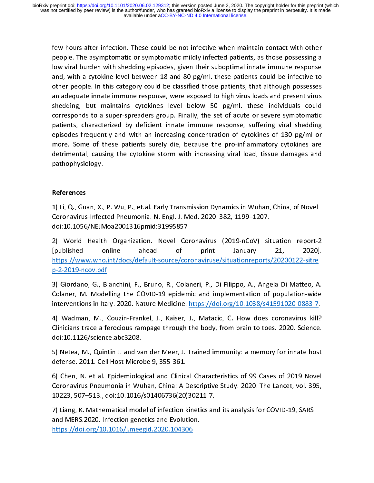people. The asymptomatic or symptomatic mildly infected patients, as those possessing a<br>low viral burden with shedding episodes, given their suboptimal innate immune response<br>and, with a cytokine level between 18 and 80 pg people. The viral burden with shedding episodes, given their suboptimal innate immune response<br>and, with a cytokine level between 18 and 80 pg/ml. these patients could be infective to<br>other people. In this category could b and, with a cytokine level between 18 and 80 pg/ml. these patients could be infective to<br>other people. In this category could be classified those patients, that although possesses<br>an adequate innate immune response, were e and, the a cytomic level between 18 and 19 pg/ml. these patients, that although possesses<br>an adequate innate immune response, were exposed to high virus loads and present virus<br>shedding, but maintains cytokines level below ontain people in this category could be character pattents, that although posterior an adequate innate immune response, were exposed to high virus loads and present virus shedding, but maintains cytokines level below 50 pg shedding, but maintains cytokines level below 50 pg/ml. these individuals could<br>corresponds to a super-spreaders group. Finally, the set of acute or severe symptomatic<br>patients, characterized by deficient innate immune res corresponds to a super-spreaders group. Finally, the set of acute or severe symptomatic<br>patients, characterized by deficient innate immune response, suffering viral shedding<br>episodes frequently and with an increasing conce patients, characterized by deficient innate immune response, suffering viral shedding<br>episodes frequently and with an increasing concentration of cytokines of 130 pg/ml or<br>more. Some of these patients surely die, because t patition of cytokines of 130 pg/ml or episodes frequently and with an increasing concentration of cytokines of 130 pg/ml or more. Some of these patients surely die, because the pro-inflammatory cytokines are detrimental, c episodes frequently and that an increasing concentration of cytomics of these patients surely die, because the pro-inflammatory cytokines are detrimental, causing the cytokine storm with increasing viral load, tissue damag detrimental, causing the cytokine storm with increasing viral load, tissue damages and<br>pathophysiology.

#### References

pathophysiology.<br>
References<br>
1) Li, Q., Guan, X., P. Wu, P., et.al. Early Transmission Dynamics in Wuhan, China, of Novel 1) Li, Q., Guan, X., P. Wu, P., et.al. Early Transmission Dynamics in Wuhan, China, of Novel<br>Coronavirus-Infected Pneumonia. N. Engl. J. Med. 2020. 382, 1199–1207.<br>doi:10.1056/NEJMoa2001316pmid:31995857 |<br>|<br>(<br>(

2) Coronavirus-Infected Pneumonia. N. Engl. J. Med. 2020. 382, 1199–1207.<br>
1) doi:10.1056/NEJMoa2001316pmid:31995857<br>
2) World Health Organization. Novel Coronavirus (2019-nCoV) situation report-2<br>
1) the strategy online a Coronavirus-Inferior Inferior Inferior Inferior Inferior Inferior Inferior Inferior Inferior Inferior 2019-120<br>
2) World Health Organization. Novel Coronavirus (2019-nCoV) sit<br>
[published online ahead of print January<br>
htt 2) World Health Organization. Novel Co<br>(published online ahead of<br>https://www.who.int/docs/default-source/com<br>p-2-2019-ncov.pdf<br>3) Giordano, G., Blanchini, F., Bruno, R., Cola 21, 2020]<br>
21, 2020]<br>
2) https://www.who.int/docs/default-source/coronaviruse/situationreports/20200122-sitre<br>
2) Giordano, G., Blanchini, F., Bruno, R., Colaneri, P., Di Filippo, A., Angela Di Matteo, A.<br>
2) Giordano, G.,

nttps://www.who.int/docs/default-source/coronaviruse/situationreports/20200122-sitre<br>p-2-2019-ncov.pdf<br>3) Giordano, G., Blanchini, F., Bruno, R., Colaneri, P., Di Filippo, A., Angela Di Matteo, A.<br>Colaner, M. Modelling the marting and particular persons per anti-solomony of the parameters of postes-<br>1980 - Sidisman, G., Blanchini, F., Bruno, R., Colaneri, P., Di Filippo, A., Angela Di Matteo, A<br>19 - Colaner, M. Modelling the COVID-19 epidemi and Controllery<br>1999 - Siordano, G., Bl<br>2019 - Colaner, M. Mode<br>1999 - Madman, M., Clinicians trace after

Colaner, M. Modelling the COVID-19 epidemic and implementation of population-wide<br>interventions in Italy. 2020. Nature Medicine. https://doi.org/10.1038/s41591020-0883-7.<br>4) Wadman, M., Couzin-Frankel, J., Kaiser, J., Mata Colaner, M. Modelling and Coloration and inplementation of population of interventions in Italy. 2020. Nature Medicine. https://doi.org/10.1038/s41591020-0883-7.<br>4) Wadman, M., Couzin-Frankel, J., Kaiser, J., Matacic, C. H interventions in Italy.<br>4) Wadman, M., Couzin-Frankel, J., Kaiser, J., Matacic, C. How does coronavirus kill?<br>Clinicians trace a ferocious rampage through the body, from brain to toes. 2020. Science.<br>doi:10.1126/science.ab Clinicians trace a ferocious rampage through the body, from brain to toes. 2020. Science.<br>doi:10.1126/science.abc3208.<br>5) Netea, M., Quintin J. and van der Meer, J. Trained immunity: a memory for innate host<br>defense. 2011.

doi:10.1126/science.abc3208.<br>5) Netea, M., Quintin J. and van der Meer, J. Trained immunity: a memory for innate host<br>defense. 2011. Cell Host Microbe 9, 355-361.<br>6) Chen, N. et al. Epidemiological and Clinical Characteris

doi:10.1126/science.abc3208. 5) Neters, M., Quintin Prince (M. 1955) (M. 1948)<br>19 September 2011. Cell Host Microbe 9, 355-361.<br>6) Chen, N. et al. Epidemiological and Clinical Characteristics of 99 Cases of 2019 Novel<br>10223, 507–513., doi:10.1016/s014 defense. 2011. The final Hostein Care is an above 5.<br>
6) Chen, N. et al. Epidemiological and Clinic:<br>
Coronavirus Pneumonia in Wuhan, China: A I<br>
10223, 507–513., doi:10.1016/s01406736(20)<br>
7) Liang, K. Mathematical model Coronavirus Pneumonia in Wuhan, China: A Descriptive Study. 2020. The Lancet, vol. 395,<br>10223, 507–513., doi:10.1016/s01406736(20)30211-7.<br>7) Liang, K. Mathematical model of infection kinetics and its analysis for COVID-19

Coronavirus Preumonia in Premis, Premistry Preumonics, 2023, 507–513., doi:10.1016/s01406736(20)30211-7.<br>The Lang, K. Mathematical model of infection kinetics and its analysis for COVID-19, SARS<br>and MERS.2020. Infection ge 7) Liang, K. Mathematical model of infection kinetics an<br>and MERS.2020. Infection genetics and Evolution.<br>https://doi.org/10.1016/j.meegid.2020.104306 and MERS.2020. Infection genetics and Evolution.<br>https://doi.org/10.1016/j.meegid.2020.104306<br>https://doi.org/10.1016/j.meegid.2020.104306 https://doi.org/10.1016/j.meegid.2020.104306

https://doi.org/10.1016/j.meegid.2020.104306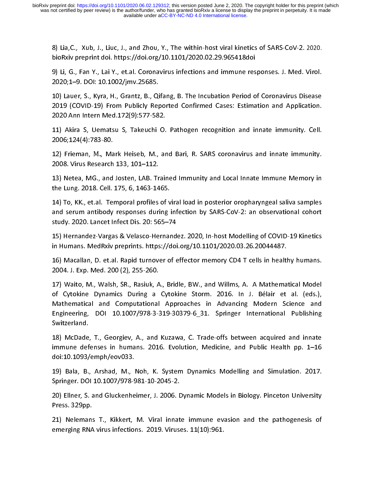8) Lia,C., Xub, J., Liuc, J., and Zhou, T., The within-host viral kinetics of SARS-CoV-2. 2020.<br>BioRxiv preprint doi. https://doi.org/10.1101/2020.02.29.965418doi<br>9) Li, G., Fan Y., Lai Y., et.al. Coronavirus infections an

bioRxiv preprint doi. https://doi.org/10.1101/2020.02.29.965418doi<br>9) Li, G., Fan Y., Lai Y., et.al. Coronavirus infections and immune responses. J. Med. Virol.<br>2020;1–9. DOI: 10.1002/jmv.25685.<br>10) Lauer, S., Kyra, H., Gr 9) Li, G., Fan T., Early, Ct.al. Coronavirus infections and immune responses. J. Med. Virol.<br>2020; 1–9. DOI: 10.1002/jmv.25685.<br>10) Lauer, S., Kyra, H., Grantz, B., Qifang, B. The Incubation Period of Coronavirus Disease<br>2 2020 An Emerica Capture 2020<br>2019 (COVID-19) From Publicly Rep<br>2020 Ann Intern Med.172(9):577-58<br>11) Akira S, Uematsu S, Takeuchi<br>2006;124(4):783-80. 10) Lauer, S., Kyra, H., Grantz, B., Qifang, B. The Incubation Period of Coronavirus Disease

2020 Ann Intern Med.172(9):577-582.<br>2020 Ann Intern Med.172(9):577-582.<br>2006;124(4):783-80.<br>12) Frieman, M., Mark Heiseb, M., and Bari, R. SARS coronavirus and innate immunity.<br>2008. Virus Research 133, 101–112. 11) Akira S, Uematsu S, Takeuchi O.<br>2006;124(4):783-80.<br>12) Frieman, M., Mark Heiseb, M., ar<br>2008. Virus Research 133, 101–112.

2006;124(4):783-80.<br>12) Frieman, M., Mark Heiseb, M., and Bari, R. SARS coronavirus and innate immunity.<br>2008. Virus Research 133, 101–112.<br>13) Netea, MG., and Josten, LAB. Trained Immunity and Local Innate Immune Memory i 12) Frieman, M., Ma<br>2008. Virus Research<br>13) Netea, MG., and<br>the Lung. 2018. Cell.

12) Frieman, M., Mark Heiseb, M., and Bari, R. SARS coronavirus and innate immunity.

2008. Virus Research 133, 101–112.<br>13) Netea, MG., and Josten, LAB. Trained Immunity and Local Innate Immune Memory in<br>the Lung. 2018. Cell. 175, 6, 1463-1465.<br>14) To, KK., et.al. Temporal profiles of viral load in posteri 13) The Lung. 2018. Cell. 175, 6, 1463-1465.<br>14) To, KK., et.al. Temporal profiles of viral load in posterior oropharyngeal saliva samples<br>and serum antibody responses during infection by SARS-CoV-2: an observational cohor The Lung. 2018. Cell. 1891<br>The Kanasral profiles of vand serum antibody responses during<br>Study. 2020. Lancet Infect Dis. 20: 565–7<br>Thernandez-Vargas & Velasco-Hernar<br>In Humans. MedRxiv preprints. https://d and serum antibody responses during infection by SARS-CoV-2: an observational cohort<br>study. 2020. Lancet Infect Dis. 20: 565–74<br>15) Hernandez-Vargas & Velasco-Hernandez. 2020, In-host Modelling of COVID-19 Kinetics<br>in Huma

study. 2020. Lancet Infect Dis. 20: 565–74<br>15) Hernandez-Vargas & Velasco-Hernandez. 2020, In-host Modelling of COVID-19 Kinetics<br>in Humans. MedRxiv preprints. https://doi.org/10.1101/2020.03.26.20044487.<br>16) Macallan, D. Study. 15) Hernandez-Vargas & Velasco-Hernand<br>in Humans. MedRxiv preprints. https://doi<br>16) Macallan, D. et.al. Rapid turnover of e<br>2004. J. Exp. Med. 200 (2), 255-260. in Humans. MedRxiv preprints. https://doi.org/10.1101/2020.03.26.20044487.<br>16) Macallan, D. et.al. Rapid turnover of effector memory CD4 T cells in healthy humans.<br>2004. J. Exp. Med. 200 (2), 255-260.<br>17) Waito, M., Walsh,

in Humans Medana, preprints in type, y searing, 2012-19, 2020-10.1101<br>16) Macallan, D. et.al. Rapid turnover of effector memory CD4 T cells in healt<br>2004. J. Exp. Med. 200 (2), 255-260.<br>17) Waito, M., Walsh, SR., Rasiuk, A 2004. J. Exp. Med. 200 (2), 255-260.<br>17) Waito, M., Walsh, SR., Rasiuk, A., Bridle, BW., and Willms, A. A Mathematical Model<br>of Cytokine Dynamics During a Cytokine Storm. 2016. In J. Bélair et al. (eds.),<br>Mathematical and <sup>2</sup><br>17) Waito, M., Walsh, SR., Rasiuk, A<br>of Cytokine Dynamics During a<br>Mathematical and Computational<br>Engineering, DOI 10.1007/978-3-3<br>Switzerland. of Cytokine Dynamics During a Cytokine Storm. 2016. In J. Bélair et al. (eds.),<br>Mathematical and Computational Approaches in Advancing Modern Science and<br>Engineering, DOI 10.1007/978-3-319-30379-6\_31. Springer Internationa Mathematical and Computational Approaches in Advancing Modern Science and<br>Engineering, DOI 10.1007/978-3-319-30379-6\_31. Springer International Publishing<br>Switzerland.<br>18) McDade, T., Georgiev, A., and Kuzawa, C. Trade-off

Engineering, DOI 10.1007/978-3-319-30379-6\_31. Springer International Publishing<br>Switzerland.<br>18) McDade, T., Georgiev, A., and Kuzawa, C. Trade-offs between acquired and innate<br>immune defenses in humans. 2016. Evolution, Engineering, DEPT EPPEPT PER PROPERT PROPERT INTERNATION PRINCING<br>18) McDade, T., Georgiev, A., and Kuzawa, C. Trade-offs between acquired and innate<br>immune defenses in humans. 2016. Evolution, Medicine, and Public Health 18) McDade,<br>immune def<br>doi:10.1093/<br>19) Bala, B.,<br>Springer. DO 18) McDade, McDade, McDade, McDade, The Controller and Public Health pp. 1–16<br>18) McDade, T., Arshad, M., Noh, K. System Dynamics Modelling and Simulation. 2017.<br>19) Bala, B., Arshad, M., Noh, K. System Dynamics Modelling

immunical of the defense of the definition. 2017.<br>19) Bala, B., Arshad, M., Noh, K. System Dynamics Modelling and Simulation. 2017.<br>19) Ellner, S. and Gluckenheimer, J. 2006. Dynamic Models in Biology. Pinceton University<br> 19) Bala, B., Arshad, M., I<br>Springer. DOI 10.1007/978-9<br>20) Ellner, S. and Gluckenhe<br>Press. 329pp.

19) Springer. DOI 10.1007/978-981-10-2045-2.<br>19) Ellner, S. and Gluckenheimer, J. 2006. Dynamic Models in Biology. Pinceton University<br>19) Press. 329pp.<br>19) Nelemans T., Kikkert, M. Viral innate immune evasion and the path Press. 329pp.<br>21) Nelemans T., Kikkert, M. Viral innate immune evasion and the pathogenesis of

Springer. Bratter. 1994. 2006. IT<br>20) Ellner, S. and Gluckenheimer, J. 2006. IT<br>Press. 329pp.<br>21) Nelemans T., Kikkert, M. Viral innat<br>emerging RNA virus infections. 2019. Virus emerging RNA virus infections. 2019. Viruses. 11(10):961.  $21$ , Melemans T., Ammery and the minimum evaluation and the pathogenesis of the pathogenesis of  $2019$ . Viruses,  $11(10):961$ . emerging RNA virus infections. 2019. Viruses. 11(10):961.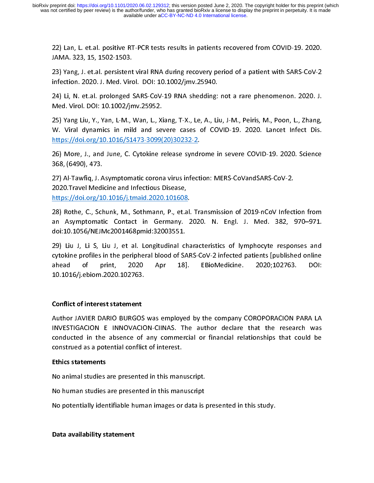JAMA. 323, 15, 1502-1503.<br>23) Yang, J. et.al. persistent viral RNA during recovery period of a patient with SARS-CoV-2<br>infection. 2020. J. Med. Virol. DOI: 10.1002/jmv.25940.<br>24) Li, N. et.al. prolonged SARS-CoV-19 RNA she JAMA. 323, 15, 1502-1503.

23) Li, N. et.al. prolonged SARS-CoV-19 RNA shedding: not a rare phenomenon. 2020. J.<br>24) Li, N. et.al. prolonged SARS-CoV-19 RNA shedding: not a rare phenomenon. 2020. J.<br>25) Yang Liu, Y., Yan, L-M., Wan, L., Xiang, T-X.,

massim as as in the sends of the sends of the sending:<br>24) Li, N. et.al. prolonged SARS-CoV-19 RNA shedding:<br>Med. Virol. DOI: 10.1002/jmv.25952.<br>25) Yang Liu, Y., Yan, L-M., Wan, L., Xiang, T-X., Le, A., Li<br>W. Viral dynami 24) Highland Prolonged State Coven Counter Coven Coven Protection 2020.<br>25) Yang Liu, Y., Yan, L-M., Wan, L., Xiang, T-X., Le, A., Liu, J-M., Peiris, M., Poon, L., Zhang,<br>W. Viral dynamics in mild and severe cases of COVID 25) Yang Liu, Y., Yan, L-M., Wan, L., X<br>W. Viral dynamics in mild and se<br>https://doi.org/10.1016/S1473-3099(<br>26) More, J., and June, C. Cytokine r<br>368, (6490), 473. 25) W. Viral dynamics in mild and severe cases of COVID-19. 2020. Lancet Infect Dis.<br>
25) More, J., and June, C. Cytokine release syndrome in severe COVID-19. 2020. Science<br>
26) More, J., and June, C. Cytokine release synd

https://doi.org/10.1016/S1473-3099(20)30232-2.<br>26) More, J., and June, C. Cytokine release syndrome in severe COVID-19. 2020. Science<br>368, (6490), 473.<br>27) Al-Tawfiq, J. Asymptomatic corona virus infection: MERS-CoVandSARS

1996)<br>26) More, J., and June, C. Cytokine release syndr<br>368, (6490), 473.<br>27) Al-Tawfiq, J. Asymptomatic corona virus infect<br>2020.Travel Medicine and Infectious Disease,<br>https://doi.org/10.1016/j.tmaid.2020.101608. 368, (6490), 473.<br>27) Al-Tawfiq, J. Asymptomatic corona virus infection: MERS-CoVandSARS-CoV-2.<br>2020.Travel Medicine and Infectious Disease,<br><u>https://doi.org/10.1016/j.tmaid.2020.101608</u>.<br>28) Rothe, C., Schunk, M., Sothman 27) Al-Tawfiq, J. A<br>2020.Travel Medi<br>https://doi.org/10<br>28) Rothe, C., Sch<br>an Asymptomat

2020.Travel Medicine and Infectious Disease,<br>
https://doi.org/10.1016/j.tmaid.2020.101608.<br>
28) Rothe, C., Schunk, M., Sothmann, P., et.al. Transmission of 2019-nCoV Infect<br>
an Asymptomatic Contact in Germany. 2020. N. Eng https://doi.org/10.1016/j.tmaid.2020.101608<br>28) Rothe, C., Schunk, M., Sothmann, P., et.a<br>an Asymptomatic Contact in Germany.<br>doi:10.1056/NEJMc2001468pmid:32003551.<br>29) Liu J, Li S, Liu J, et al. Longitudinal ch an Asymptomatic Contact in Germany. 2020. N. Engl. J. Med. 382, 970–971.<br>doi:10.1056/NEJMc2001468pmid:32003551.

an Asymptomatic Contact in Germany. 2020. N. Engl. J. Med. 382, 970–971.<br>doi:10.1056/NEJMc2001468pmid:32003551.<br>29) Liu J, Li S, Liu J, et al. Longitudinal characteristics of lymphocyte responses and<br>cytokine profiles in t an Asymptomatic Contact in Germany. 2020 10:10.1056/NEJMc2001468pmid:32003551.<br>29) Liu J, Li S, Liu J, et al. Longitudinal characteristics of lymphocyte responses and<br>cytokine profiles in the peripheral blood of SARS-CoV-2 29) Liu J, Li S, Liu J, et al. Longitudinal cheviokine profiles in the peripheral blood of SA ahead of print, 2020 Apr 18]<br>10.1016/j.ebiom.2020.102763. cytokine profiles in the peripheral blood of SARS-CoV-2 infected patients [published online<br>ahead of print, 2020 Apr 18]. EBioMedicine. 2020;102763. DOI:<br>10.1016/j.ebiom.2020.102763. cytokine profiles in the peripheral blood of Sarah patients in the peripheral blood of Sarah print, 2020 April 18]. EBioMedicine. 2020;102763. DOI:<br>10.1016/j.ebiom.2020.102763.<br>Conflict of interest statement

#### Conflict of interest statement

10.1016/j.ebiom.2020.102763.<br>Conflict of interest statement<br>Author JAVIER DARIO BURGOS was employed by the company COROPORACION PARA LA THE<br>2016 Conflict of interest statement<br>1016 Author JAVIER DARIO BURGOS<br>1016 STIGACION E INNOVACIO (<br>|<br>|<br>| INVESTIGACION E INNOVACION-CIINAS. The author declare that the research was<br>conducted in the absence of any commercial or financial relationships that could be<br>construed as a potential conflict of interest.<br>**Ethics stateme** INVERTIGACION EXTIGACION Examples and the absence of any commercial or financial relationships that could be<br>
INVERTIGACION-CONSTRIBUTE:<br>
INVERTIGACION-CIINAS NO animal studies are presented in this manuscript.<br>
INVERTIGAC construed as a potential conflict of interest.<br>Ethics statements<br>No animal studies are presented in this manuscript.<br>No human studies are presented in this manuscript

#### Ethics statements

Ethics statements<br>No animal studies are presented in this man<br>No human studies are presented in this man<br>No potentially identifiable human images or

No human studies are presented in this manuscript.<br>No potentially identifiable human images or data is p<br>Data availability statement No potentially identifiable human images or data is<br>Data availability statement

No potential in the study.<br>Note availability statement<br>Application in this study. Data availability statement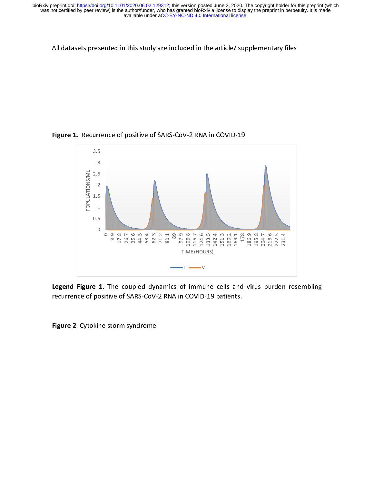$\mathcal{A}$  , the article in this study are included in the article  $\mathcal{A}$  supplementary files files for article  $\mathcal{A}$ 



 $\ddot{a}$ Legend Figure 1. The coupled dynamics of immune cells and virus burden resembling<br>recurrence of positive of SARS-CoV-2 RNA in COVID-19 patients.<br>Figure 2. Cytokine storm syndrome

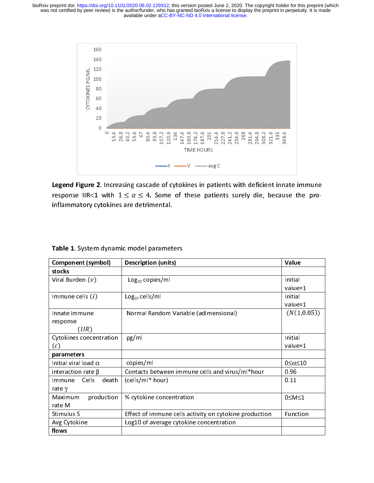

i<br>t Legend Figure 2. Increasing cascade of cytokines in patients with deficient innate immune<br>response IIR<1 with  $1 \le \alpha \le 4$ . Some of these patients surely die, because the pro-<br>inflammatory cytokines are detrimental. response IIR<1 with  $1 \leq \alpha \leq 4$ . Some of these patients surely die, because the pro-<br>inflammatory cytokines are detrimental.<br>Table 1. System dynamic model parameters inflammatory cytokines are detrimental.<br>Table 1. System dynamic model parameters

| Table 1. System dynamic model parameters |                                                        |                         |
|------------------------------------------|--------------------------------------------------------|-------------------------|
| Component (symbol)                       | <b>Description (units)</b>                             | Value                   |
| stocks                                   |                                                        |                         |
| Viral Burden $(v)$                       | Log <sub>10</sub> copies/ml                            | Initial<br>$value = 1$  |
| Immune cells $(i)$                       | $Log10$ cells/ml                                       | Initial<br>value=1      |
| Innate immune<br>response<br>(IIR)       | Normal Random Variable (adimensional)                  | (N(1,0.05))             |
| Cytokines concentration<br>(c)           | pg/ml                                                  | Initial<br>value=1      |
| parameters                               |                                                        |                         |
| Initial viral load $\alpha$              | copies/ml                                              | $0 \leq \alpha \leq 10$ |
| interaction rate $\beta$                 | Contacts between immune cells and virus/ml*hour        | 0.96                    |
| Immune Cells<br>death<br>rate $\gamma$   | (cells/ml* hour)                                       | 0.11                    |
| Maximum<br>production<br>rate M          | % cytokine concentration                               | 0≤M≤1                   |
| Stimulus S                               | Effect of immune cells activity on cytokine production | Function                |
| Avg Cytokine                             | Log10 of average cytokine concentration                |                         |
| flows                                    |                                                        |                         |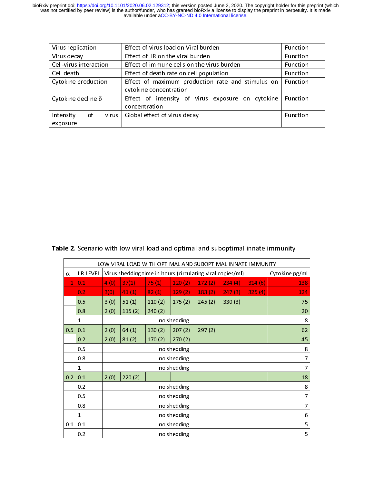| Virus replication         | Effect of virus load on Viral burden              | Function        |  |  |  |
|---------------------------|---------------------------------------------------|-----------------|--|--|--|
| Virus decay               | Effect of IIR on the viral burden                 | <b>Function</b> |  |  |  |
| Cell-virus interaction    | Effect of immune cells on the virus burden        | Function        |  |  |  |
| Cell death                | Effect of death rate on cell population           | Function        |  |  |  |
| Cytokine production       | Effect of maximum production rate and stimulus on | Function        |  |  |  |
|                           | cytokine concentration                            |                 |  |  |  |
| Cytokine decline $\delta$ | Effect of intensity of virus exposure on cytokine | Function        |  |  |  |
|                           | concentration                                     |                 |  |  |  |
| 0f<br>Intensity<br>virus  | Global effect of virus decay                      | Function        |  |  |  |
| exposure                  |                                                   |                 |  |  |  |

 $\overline{a}$  $\overline{a}$  $\overline{1}$  $\overline{1}$ 

|             |                  |      |                                           |        |             |                                                            | LOW VIRAL LOAD WITH OPTIMAL AND SUBOPTIMAL INNATE IMMUNITY |        |                |
|-------------|------------------|------|-------------------------------------------|--------|-------------|------------------------------------------------------------|------------------------------------------------------------|--------|----------------|
| $\alpha$    | <b>IIR LEVEL</b> |      |                                           |        |             | Virus shedding time in hours (circulating viral copies/ml) |                                                            |        | Cytokine pg/ml |
| $\mathbf 1$ | 0.1              | 4(0) | 37(1)                                     | 75(1)  | 120(2)      | 172(2)                                                     | 234(4)                                                     | 314(6) | 138            |
|             | 0.2              | 3(0) | 41(1)                                     | 82(1)  | 129(2)      | 183(2)                                                     | 247(3)                                                     | 325(4) | 124            |
|             | 0.5              | 3(0) | 51(1)                                     | 110(2) | 175(2)      | 245(2)                                                     | 330(3)                                                     |        | 75             |
|             | 0.8              | 2(0) | 115(2)                                    | 240(2) |             |                                                            |                                                            |        | 20             |
|             | $\mathbf{1}$     |      |                                           | 8      |             |                                                            |                                                            |        |                |
| 0.5         | 0.1              | 2(0) | 64(1)                                     | 130(2) | 207(2)      | 297(2)                                                     |                                                            |        | 62             |
|             | 0.2              | 2(0) | 81(2)                                     | 170(2) | 270(2)      |                                                            |                                                            |        | 45             |
|             | 0.5              |      | no shedding<br>no shedding<br>no shedding |        |             |                                                            |                                                            |        | 8              |
|             | 0.8              |      |                                           |        |             |                                                            |                                                            |        | 7              |
|             | $\mathbf{1}$     |      |                                           |        |             |                                                            |                                                            |        | 7              |
| 0.2         | 0.1              | 2(0) | 220(2)                                    |        |             |                                                            |                                                            |        | 18             |
|             | 0.2              |      |                                           |        | no shedding |                                                            |                                                            |        | 8              |
|             | 0.5              |      |                                           |        | no shedding |                                                            |                                                            |        | 7              |
|             | 0.8              |      |                                           |        | no shedding |                                                            |                                                            |        | 7              |
|             | $\mathbf{1}$     |      |                                           |        | no shedding |                                                            |                                                            |        | 6              |
| 0.1         | 0.1              |      |                                           |        | no shedding |                                                            |                                                            |        | 5              |
|             | 0.2              |      |                                           |        | no shedding |                                                            |                                                            |        | 5              |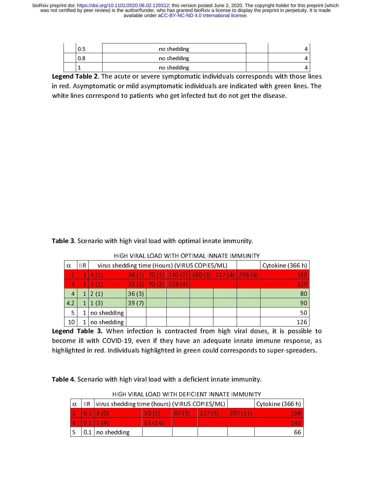| U.S | no shedding |  |
|-----|-------------|--|
| 0.8 | no shedding |  |
|     | no shedding |  |

Legend Table 2. The acute or severe symptomatic individuals corresponds with those lines in red. Asymptomatic or mild asymptomatic individuals are indicated with green lines. The white lines correspond to patients who get infected but do not get the disease. white lines correspond to patients who get infected but do not get the disease.

 $\overline{a}$  $\overline{a}$  $\overline{1}$  $\overline{1}$ 

|          |                                              | <b>Table 3:</b> Sections With Ingh Vital Ioad With Optimal Innate Infinitivity. |                  |  |                        |                                               |  |  |     |  |  |
|----------|----------------------------------------------|---------------------------------------------------------------------------------|------------------|--|------------------------|-----------------------------------------------|--|--|-----|--|--|
|          | HIGH VIRAL LOAD WITH OPTIMAL INNATE IMMUNITY |                                                                                 |                  |  |                        |                                               |  |  |     |  |  |
| $\alpha$ | IIR.                                         | virus shedding time (Hours) (VIRUS COPIES/ML)                                   | Cytokine (366 h) |  |                        |                                               |  |  |     |  |  |
|          |                                              | 4(1)                                                                            |                  |  |                        | 36 (1) 70 (1) 110 (2) 160 (3) 217 (4) 296 (6) |  |  | 130 |  |  |
| 3        |                                              | 3(1)                                                                            |                  |  | $32(2)$ 70 (2) 128 (4) |                                               |  |  | 129 |  |  |
| 4        |                                              | 2(1)                                                                            | 36(3)            |  |                        |                                               |  |  | 80  |  |  |
| 4.2      |                                              | 1(3)                                                                            | 39(7)            |  |                        |                                               |  |  | 90  |  |  |
| 5.       |                                              | no shedding                                                                     |                  |  |                        |                                               |  |  | 50  |  |  |
| 10       |                                              | no shedding                                                                     |                  |  |                        |                                               |  |  | 126 |  |  |

Legend Table 3. When infection is contracted from high viral doses, it is possible to become ill with COVID-19, even if they have an adequate innate immune response, as<br>highlighted in red. Individuals highlighted in green could corresponds to super-spreaders.<br>Table 4. Scenario with high viral load with a de highlighted in red. Individuals highlighted in green could corresponds to super-spreaders.

|          |      | Table 4. Scenario with high viral load with a deficient innate immunity. |        |       |                                                |         |                  |
|----------|------|--------------------------------------------------------------------------|--------|-------|------------------------------------------------|---------|------------------|
|          |      |                                                                          |        |       | HIGH VIRAL LOAD WITH DEFICIENT INNATE IMMUNITY |         |                  |
| $\alpha$ | IIR. | virus shedding time (hours) (VIRUS COPIES/ML)                            |        |       |                                                |         | Cytokine (366 h) |
|          |      | $0.1$   3 (0)                                                            | 30(2)  | 67(3) | 117(5)                                         | 207(11) | 198              |
| 4        | 0.1  | 1(4)                                                                     | 53(14) |       |                                                |         | 145              |
|          |      |                                                                          |        |       |                                                |         | 66               |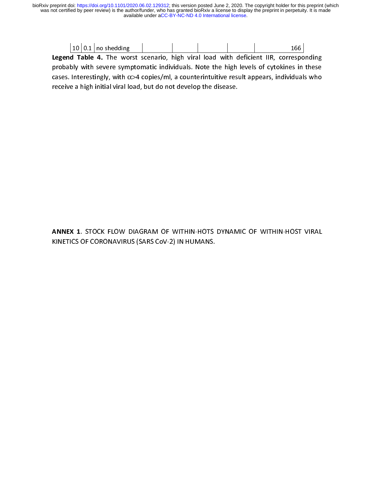|  | $10 0.1 $ no shedding |  |  |  |  |
|--|-----------------------|--|--|--|--|

Legend Table 4. The worst scenario, high viral load with deficient IIR, corresponding probably with severe symptomatic individuals. Note the high levels of cytokines in these<br>cases. Interestingly, with  $\alpha$ >4 copies/ml, a counterintuitive result appears, individuals who<br>receive a high initial viral load, b  $p$  recast, interestingly, with  $\alpha$  >4 copies/ml, a counterintuitive result appears, individuals who receive a high initial viral load, but do not develop the disease. receive a high initial viral load, but do not develop the disease.

 $\overline{a}$ KINEX 1. STOCK FLOW DIAGRAM OF WITHIN-HOTS DTNAMIC OF WITHIN-HOST VIRAL<br>KINETICS OF CORONAVIRUS (SARS CoV-2) IN HUMANS. KINETICS OF CORONAVIRUS (SARS CoV-2) IN HUMANS.